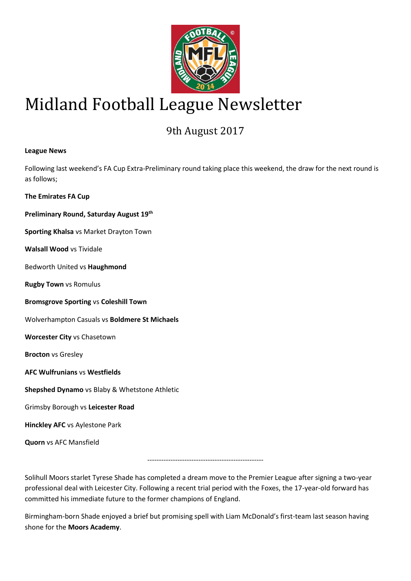

# Midland Football League Newsletter

# 9th August 2017

# **League News**

Following last weekend's FA Cup Extra-Preliminary round taking place this weekend, the draw for the next round is as follows;

**The Emirates FA Cup**

**Preliminary Round, Saturday August 19th**

**Sporting Khalsa** vs Market Drayton Town

**Walsall Wood** vs Tividale

Bedworth United vs **Haughmond**

**Rugby Town** vs Romulus

**Bromsgrove Sporting** vs **Coleshill Town**

Wolverhampton Casuals vs **Boldmere St Michaels**

**Worcester City** vs Chasetown

**Brocton** vs Gresley

**AFC Wulfrunians** vs **Westfields**

**Shepshed Dynamo** vs Blaby & Whetstone Athletic

Grimsby Borough vs **Leicester Road**

**Hinckley AFC** vs Aylestone Park

**Quorn** vs AFC Mansfield

--------------------------------------------------

Solihull Moors starlet Tyrese Shade has completed a dream move to the Premier League after signing a two-year professional deal with Leicester City. Following a recent trial period with the Foxes, the 17-year-old forward has committed his immediate future to the former champions of England.

Birmingham-born Shade enjoyed a brief but promising spell with Liam McDonald's first-team last season having shone for the **Moors Academy**.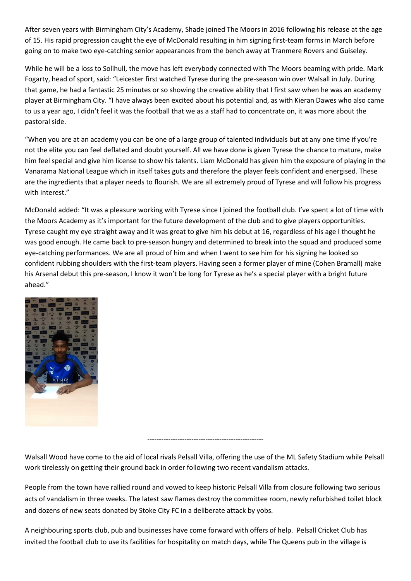After seven years with Birmingham City's Academy, Shade joined The Moors in 2016 following his release at the age of 15. His rapid progression caught the eye of McDonald resulting in him signing first-team forms in March before going on to make two eye-catching senior appearances from the bench away at Tranmere Rovers and Guiseley.

While he will be a loss to Solihull, the move has left everybody connected with The Moors beaming with pride. Mark Fogarty, head of sport, said: "Leicester first watched Tyrese during the pre-season win over Walsall in July. During that game, he had a fantastic 25 minutes or so showing the creative ability that I first saw when he was an academy player at Birmingham City. "I have always been excited about his potential and, as with Kieran Dawes who also came to us a year ago, I didn't feel it was the football that we as a staff had to concentrate on, it was more about the pastoral side.

"When you are at an academy you can be one of a large group of talented individuals but at any one time if you're not the elite you can feel deflated and doubt yourself. All we have done is given Tyrese the chance to mature, make him feel special and give him license to show his talents. Liam McDonald has given him the exposure of playing in the Vanarama National League which in itself takes guts and therefore the player feels confident and energised. These are the ingredients that a player needs to flourish. We are all extremely proud of Tyrese and will follow his progress with interest."

McDonald added: "It was a pleasure working with Tyrese since I joined the football club. I've spent a lot of time with the Moors Academy as it's important for the future development of the club and to give players opportunities. Tyrese caught my eye straight away and it was great to give him his debut at 16, regardless of his age I thought he was good enough. He came back to pre-season hungry and determined to break into the squad and produced some eye-catching performances. We are all proud of him and when I went to see him for his signing he looked so confident rubbing shoulders with the first-team players. Having seen a former player of mine (Cohen Bramall) make his Arsenal debut this pre-season, I know it won't be long for Tyrese as he's a special player with a bright future ahead."



--------------------------------------------------

Walsall Wood have come to the aid of local rivals Pelsall Villa, offering the use of the ML Safety Stadium while Pelsall work tirelessly on getting their ground back in order following two recent vandalism attacks.

People from the town have rallied round and vowed to keep historic Pelsall Villa from closure following two serious acts of vandalism in three weeks. The latest saw flames destroy the committee room, newly refurbished toilet block and dozens of new seats donated by Stoke City FC in a deliberate attack by yobs.

A neighbouring sports club, pub and businesses have come forward with offers of help. Pelsall Cricket Club has invited the football club to use its facilities for hospitality on match days, while The Queens pub in the village is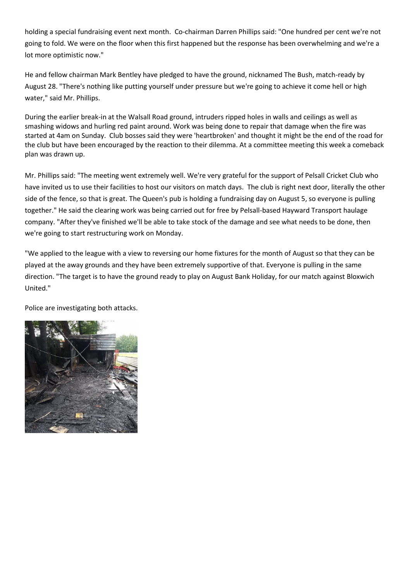holding a special fundraising event next month. Co-chairman Darren Phillips said: "One hundred per cent we're not going to fold. We were on the floor when this first happened but the response has been overwhelming and we're a lot more optimistic now."

He and fellow chairman Mark Bentley have pledged to have the ground, nicknamed The Bush, match-ready by August 28. "There's nothing like putting yourself under pressure but we're going to achieve it come hell or high water," said Mr. Phillips.

During the earlier break-in at the Walsall Road ground, intruders ripped holes in walls and ceilings as well as smashing widows and hurling red paint around. Work was being done to repair that damage when the fire was started at 4am on Sunday. Club bosses said they were 'heartbroken' and thought it might be the end of the road for the club but have been encouraged by the reaction to their dilemma. At a committee meeting this week a comeback plan was drawn up.

Mr. Phillips said: "The meeting went extremely well. We're very grateful for the support of Pelsall Cricket Club who have invited us to use their facilities to host our visitors on match days. The club is right next door, literally the other side of the fence, so that is great. The Queen's pub is holding a fundraising day on August 5, so everyone is pulling together." He said the clearing work was being carried out for free by Pelsall-based Hayward Transport haulage company. "After they've finished we'll be able to take stock of the damage and see what needs to be done, then we're going to start restructuring work on Monday.

"We applied to the league with a view to reversing our home fixtures for the month of August so that they can be played at the away grounds and they have been extremely supportive of that. Everyone is pulling in the same direction. "The target is to have the ground ready to play on August Bank Holiday, for our match against Bloxwich United."

Police are investigating both attacks.

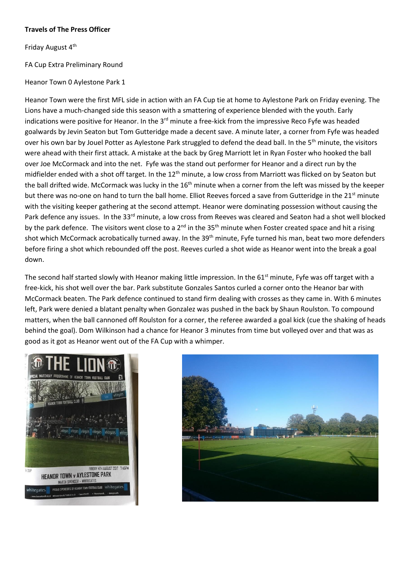## **Travels of The Press Officer**

Friday August 4<sup>th</sup>

# FA Cup Extra Preliminary Round

Heanor Town 0 Aylestone Park 1

Heanor Town were the first MFL side in action with an FA Cup tie at home to Aylestone Park on Friday evening. The Lions have a much-changed side this season with a smattering of experience blended with the youth. Early indications were positive for Heanor. In the 3<sup>rd</sup> minute a free-kick from the impressive Reco Fyfe was headed goalwards by Jevin Seaton but Tom Gutteridge made a decent save. A minute later, a corner from Fyfe was headed over his own bar by Jouel Potter as Aylestone Park struggled to defend the dead ball. In the 5<sup>th</sup> minute, the visitors were ahead with their first attack. A mistake at the back by Greg Marriott let in Ryan Foster who hooked the ball over Joe McCormack and into the net. Fyfe was the stand out performer for Heanor and a direct run by the midfielder ended with a shot off target. In the 12<sup>th</sup> minute, a low cross from Marriott was flicked on by Seaton but the ball drifted wide. McCormack was lucky in the 16<sup>th</sup> minute when a corner from the left was missed by the keeper but there was no-one on hand to turn the ball home. Elliot Reeves forced a save from Gutteridge in the 21<sup>st</sup> minute with the visiting keeper gathering at the second attempt. Heanor were dominating possession without causing the Park defence any issues. In the 33<sup>rd</sup> minute, a low cross from Reeves was cleared and Seaton had a shot well blocked by the park defence. The visitors went close to a  $2^{nd}$  in the  $35<sup>th</sup>$  minute when Foster created space and hit a rising shot which McCormack acrobatically turned away. In the 39<sup>th</sup> minute, Fyfe turned his man, beat two more defenders before firing a shot which rebounded off the post. Reeves curled a shot wide as Heanor went into the break a goal down.

The second half started slowly with Heanor making little impression. In the 61<sup>st</sup> minute, Fyfe was off target with a free-kick, his shot well over the bar. Park substitute Gonzales Santos curled a corner onto the Heanor bar with McCormack beaten. The Park defence continued to stand firm dealing with crosses as they came in. With 6 minutes left, Park were denied a blatant penalty when Gonzalez was pushed in the back by Shaun Roulston. To compound matters, when the ball cannoned off Roulston for a corner, the referee awarded a goal kick (cue the shaking of heads behind the goal). Dom Wilkinson had a chance for Heanor 3 minutes from time but volleyed over and that was as good as it got as Heanor went out of the FA Cup with a whimper.



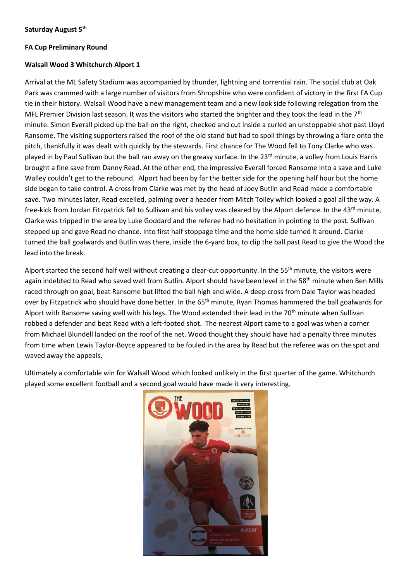# **FA Cup Preliminary Round**

# **Walsall Wood 3 Whitchurch Alport 1**

Arrival at the ML Safety Stadium was accompanied by thunder, lightning and torrential rain. The social club at Oak Park was crammed with a large number of visitors from Shropshire who were confident of victory in the first FA Cup tie in their history. Walsall Wood have a new management team and a new look side following relegation from the MFL Premier Division last season. It was the visitors who started the brighter and they took the lead in the 7<sup>th</sup> minute. Simon Everall picked up the ball on the right, checked and cut inside a curled an unstoppable shot past Lloyd Ransome. The visiting supporters raised the roof of the old stand but had to spoil things by throwing a flare onto the pitch, thankfully it was dealt with quickly by the stewards. First chance for The Wood fell to Tony Clarke who was played in by Paul Sullivan but the ball ran away on the greasy surface. In the 23<sup>rd</sup> minute, a volley from Louis Harris brought a fine save from Danny Read. At the other end, the impressive Everall forced Ransome into a save and Luke Walley couldn't get to the rebound. Alport had been by far the better side for the opening half hour but the home side began to take control. A cross from Clarke was met by the head of Joey Butlin and Read made a comfortable save. Two minutes later, Read excelled, palming over a header from Mitch Tolley which looked a goal all the way. A free-kick from Jordan Fitzpatrick fell to Sullivan and his volley was cleared by the Alport defence. In the 43<sup>rd</sup> minute, Clarke was tripped in the area by Luke Goddard and the referee had no hesitation in pointing to the post. Sullivan stepped up and gave Read no chance. Into first half stoppage time and the home side turned it around. Clarke turned the ball goalwards and Butlin was there, inside the 6-yard box, to clip the ball past Read to give the Wood the lead into the break.

Alport started the second half well without creating a clear-cut opportunity. In the 55<sup>th</sup> minute, the visitors were again indebted to Read who saved well from Butlin. Alport should have been level in the 58<sup>th</sup> minute when Ben Mills raced through on goal, beat Ransome but lifted the ball high and wide. A deep cross from Dale Taylor was headed over by Fitzpatrick who should have done better. In the 65<sup>th</sup> minute, Ryan Thomas hammered the ball goalwards for Alport with Ransome saving well with his legs. The Wood extended their lead in the 70<sup>th</sup> minute when Sullivan robbed a defender and beat Read with a left-footed shot. The nearest Alport came to a goal was when a corner from Michael Blundell landed on the roof of the net. Wood thought they should have had a penalty three minutes from time when Lewis Taylor-Boyce appeared to be fouled in the area by Read but the referee was on the spot and waved away the appeals.

Ultimately a comfortable win for Walsall Wood which looked unlikely in the first quarter of the game. Whitchurch played some excellent football and a second goal would have made it very interesting.

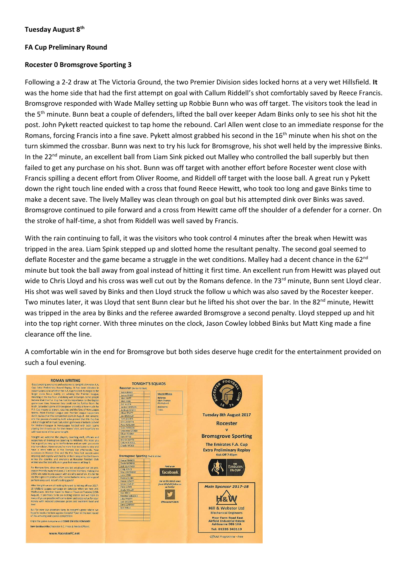#### **FA Cup Preliminary Round**

#### **Rocester 0 Bromsgrove Sporting 3**

Following a 2-2 draw at The Victoria Ground, the two Premier Division sides locked horns at a very wet Hillsfield. **It**  was the home side that had the first attempt on goal with Callum Riddell's shot comfortably saved by Reece Francis. Bromsgrove responded with Wade Malley setting up Robbie Bunn who was off target. The visitors took the lead in the 5<sup>th</sup> minute. Bunn beat a couple of defenders, lifted the ball over keeper Adam Binks only to see his shot hit the post. John Pykett reacted quickest to tap home the rebound. Carl Allen went close to an immediate response for the Romans, forcing Francis into a fine save. Pykett almost grabbed his second in the 16<sup>th</sup> minute when his shot on the turn skimmed the crossbar. Bunn was next to try his luck for Bromsgrove, his shot well held by the impressive Binks. In the 22<sup>nd</sup> minute, an excellent ball from Liam Sink picked out Malley who controlled the ball superbly but then failed to get any purchase on his shot. Bunn was off target with another effort before Rocester went close with Francis spilling a decent effort from Oliver Roome, and Riddell off target with the loose ball. A great run y Pykett down the right touch line ended with a cross that found Reece Hewitt, who took too long and gave Binks time to make a decent save. The lively Malley was clean through on goal but his attempted dink over Binks was saved. Bromsgrove continued to pile forward and a cross from Hewitt came off the shoulder of a defender for a corner. On the stroke of half-time, a shot from Riddell was well saved by Francis.

With the rain continuing to fall, it was the visitors who took control 4 minutes after the break when Hewitt was tripped in the area. Liam Spink stepped up and slotted home the resultant penalty. The second goal seemed to deflate Rocester and the game became a struggle in the wet conditions. Malley had a decent chance in the 62<sup>nd</sup> minute but took the ball away from goal instead of hitting it first time. An excellent run from Hewitt was played out wide to Chris Lloyd and his cross was well cut out by the Romans defence. In the 73<sup>rd</sup> minute, Bunn sent Lloyd clear. His shot was well saved by Binks and then Lloyd struck the follow u which was also saved by the Rocester keeper. Two minutes later, it was Lloyd that sent Bunn clear but he lifted his shot over the bar. In the 82<sup>nd</sup> minute, Hewitt was tripped in the area by Binks and the referee awarded Bromsgrove a second penalty. Lloyd stepped up and hit into the top right corner. With three minutes on the clock, Jason Cowley lobbed Binks but Matt King made a fine clearance off the line.

A comfortable win in the end for Bromsgrove but both sides deserve huge credit for the entertainment provided on such a foul evening.

| <b>ROMAN WRITING</b><br>Good evening everyone and welcome to tonight's Emirates F.A.<br>Cup Extra Preliminary Round Replay, It has been debated in                                                                                                                                                                                                                                                   | <b>TONIGHT'S SQUADS</b><br>Rocester (Amber & Black)                                                                                                                                   | ۴OO                                                                                |
|------------------------------------------------------------------------------------------------------------------------------------------------------------------------------------------------------------------------------------------------------------------------------------------------------------------------------------------------------------------------------------------------------|---------------------------------------------------------------------------------------------------------------------------------------------------------------------------------------|------------------------------------------------------------------------------------|
| recent years as to whether the F.A. Cup has lost its magic as the<br>larger clubs focus mainly on winning the Premier League.<br>finishing in the top four, and doing well in Europe. Some people<br>believe that the F.A. Cup has lost its importance to the English<br>game over time, however they could not be further from the<br>truth. Saturday's game at Bromsgrove proved just how much the | <b>Adam BINKS</b><br><b>Match Officials</b><br>James FROST<br>Referee:<br>Matt NUTT<br>Mark Thomas<br>Matt KING<br>(Nottingham)<br>Carl ALLEN<br>Assistants:<br><b>Jordan SIMPSON</b> | CES <sub>f</sub><br>ō                                                              |
| F.A. Cup means to players, coaches and the fans of Non-League<br>teams. Most Football League and Premier League supporters<br>don't realise that this competition starts in August - not January.<br>and the passion showed by both sides proved that this Cup has                                                                                                                                   | TIB.A.<br><b>Ashleigh LYNCH</b><br><b>Oliver PRATT</b><br><b>Joe BROCKLEY</b><br><b>Tom BROWN</b>                                                                                     | <b>Tuesday 8th August 2017</b>                                                     |
| a lot of magic left in it yet. Saturday's game was a fantastic advert<br>for Midland League & Non-League football with both teams<br>playing their hearts out for their teams' shirt, and hopefully we                                                                                                                                                                                               | <b>Chris MARTIN</b><br>Pete ALIGUMA<br>Scott WESSON<br>Sebastian SZONDI                                                                                                               | <b>Rocester</b>                                                                    |
| will have more of the same tonight.<br>Tonight we welcome the players, coaching staff, officials and<br>supporters of Bromsgrove Sporting to Hillsfield. We hope you                                                                                                                                                                                                                                 | Oliver ROOME<br>Sam BATES<br><b>Martin SMYTH</b>                                                                                                                                      | <b>Bromsgrove Sporting</b>                                                         |
| had a good journey up to Staffordshire and we wish you a safe.<br>trip home later. However you're more than welcome to stay and<br>have a drink with us in the Romans Bar afterwards. Your<br>successes in Division One and the F.A. Vase last season were<br>inspiring and eagerly watched by all Non-League football lovers.                                                                       | Callum RIDDELL<br>Charlie WOOD<br><b>Bromsgrove Sporting (Red &amp; White)</b>                                                                                                        | The Emirates F.A. Cup<br><b>Extra Preliminary Replay</b><br>Kick Off 7:45pm        |
| across the country, and everyone at Rocester Football Club<br>wishes you the best of luck in your first season at Step S.<br>For Romans fans, since we saw you last we played our last pre-<br>season friendly away and won 2-1 at Hilton Harriers, making it a                                                                                                                                      | <b>Reece FRANCIS</b><br>Daniel MORRIS<br><b>Josh QUAYNOR</b><br><b>Find us on</b><br><b>Craig JONES</b>                                                                               | THE<br><b>Emirates</b><br><b>FA CUP</b>                                            |
| 100% win ratio in pre-season with six wins out of six. It's fair to<br>say the signs are positive after some fantastic wins, some good<br>performances and lots of cracking goals!                                                                                                                                                                                                                   | facebook<br><b>Max LOVERIDGE</b><br><b>Liam SPINK</b><br>Robbie BUNN<br>Reece HEWITT<br>For all the latest news<br>Jason COWLEY<br>from Hillsfield follow us                          |                                                                                    |
| After tonight we are all looking forward to kicking off our 2017-<br>18 Midland League campaign on Saturday when we host AFC<br>Wulfrunians. We then travel to Heanor Town on Tuesday (15th)<br>August). It promises to be an exciting season and we hope as                                                                                                                                         | Chris LLOYD<br>on Twitter<br>Wade MALLEY<br><b>Ben BIRCH</b><br>Marshall WILLOCK                                                                                                      | <b>Main Sponsor 2017-18</b>                                                        |
| many of you as possible will come down and enjoy value for your<br>money with reduced admission prices and excellent food and<br>beer.                                                                                                                                                                                                                                                               | John PYKETT<br>Jack WILSON<br>@RocesterFC1876<br><b>Chris CONWAY</b><br>Sam WILLS                                                                                                     | <b>Hill &amp; Webster Ltd</b>                                                      |
| But for now our attention turns to tonight's game where we<br>hope to book a tie here against Coleshill Town in the next round<br>of this amazing and special competition.                                                                                                                                                                                                                           |                                                                                                                                                                                       | <b>Mechanical Engineers</b><br><b>Moor Farm Road East</b>                          |
| Enjoy the game everyone and COME ON YOU ROMANS!<br>Sam Goldsworthy (Rocester F.C. Press & Media Officer)                                                                                                                                                                                                                                                                                             |                                                                                                                                                                                       | <b>Airfield Industrial Estate</b><br><b>Ashbourne DE6 1HA</b><br>Tel: 01335 343119 |
| www.RocesterFC.net                                                                                                                                                                                                                                                                                                                                                                                   |                                                                                                                                                                                       | <b>Official Programme - Free</b>                                                   |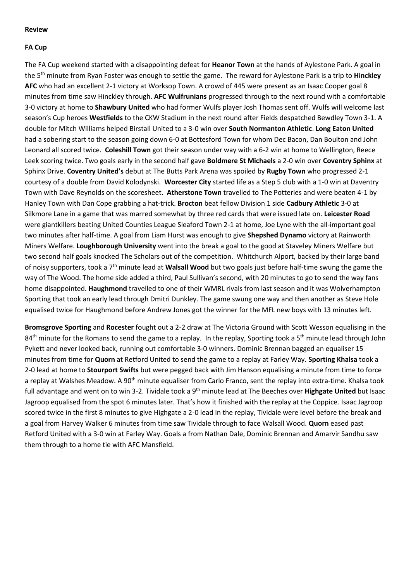#### **Review**

#### **FA Cup**

The FA Cup weekend started with a disappointing defeat for **Heanor Town** at the hands of Aylestone Park. A goal in the 5th minute from Ryan Foster was enough to settle the game.The reward for Aylestone Park is a trip to **Hinckley AFC** who had an excellent 2-1 victory at Worksop Town. A crowd of 445 were present as an Isaac Cooper goal 8 minutes from time saw Hinckley through. **AFC Wulfrunians** progressed through to the next round with a comfortable 3-0 victory at home to **Shawbury United** who had former Wulfs player Josh Thomas sent off. Wulfs will welcome last season's Cup heroes **Westfields** to the CKW Stadium in the next round after Fields despatched Bewdley Town 3-1. A double for Mitch Williams helped Birstall United to a 3-0 win over **South Normanton Athletic**. **Long Eaton United** had a sobering start to the season going down 6-0 at Bottesford Town for whom Dec Bacon, Dan Boulton and John Leonard all scored twice. **Coleshill Town** got their season under way with a 6-2 win at home to Wellington, Reece Leek scoring twice. Two goals early in the second half gave **Boldmere St Michaels** a 2-0 win over **Coventry Sphinx** at Sphinx Drive. **Coventry United's** debut at The Butts Park Arena was spoiled by **Rugby Town** who progressed 2-1 courtesy of a double from David Kolodynski. **Worcester City** started life as a Step 5 club with a 1-0 win at Daventry Town with Dave Reynolds on the scoresheet. **Atherstone Town** travelled to The Potteries and were beaten 4-1 by Hanley Town with Dan Cope grabbing a hat-trick. **Brocton** beat fellow Division 1 side **Cadbury Athletic** 3-0 at Silkmore Lane in a game that was marred somewhat by three red cards that were issued late on. **Leicester Road** were giantkillers beating United Counties League Sleaford Town 2-1 at home, Joe Lyne with the all-important goal two minutes after half-time. A goal from Liam Hurst was enough to give **Shepshed Dynamo** victory at Rainworth Miners Welfare. **Loughborough University** went into the break a goal to the good at Staveley Miners Welfare but two second half goals knocked The Scholars out of the competition. Whitchurch Alport, backed by their large band of noisy supporters, took a 7th minute lead at **Walsall Wood** but two goals just before half-time swung the game the way of The Wood. The home side added a third, Paul Sullivan's second, with 20 minutes to go to send the way fans home disappointed. **Haughmond** travelled to one of their WMRL rivals from last season and it was Wolverhampton Sporting that took an early lead through Dmitri Dunkley. The game swung one way and then another as Steve Hole equalised twice for Haughmond before Andrew Jones got the winner for the MFL new boys with 13 minutes left.

**Bromsgrove Sporting** and **Rocester** fought out a 2-2 draw at The Victoria Ground with Scott Wesson equalising in the 84<sup>th</sup> minute for the Romans to send the game to a replay. In the replay, Sporting took a 5<sup>th</sup> minute lead through John Pykett and never looked back, running out comfortable 3-0 winners. Dominic Brennan bagged an equaliser 15 minutes from time for **Quorn** at Retford United to send the game to a replay at Farley Way. **Sporting Khalsa** took a 2-0 lead at home to **Stourport Swifts** but were pegged back with Jim Hanson equalising a minute from time to force a replay at Walshes Meadow. A 90<sup>th</sup> minute equaliser from Carlo Franco, sent the replay into extra-time. Khalsa took full advantage and went on to win 3-2. Tividale took a 9<sup>th</sup> minute lead at The Beeches over Highgate United but Isaac Jagroop equalised from the spot 6 minutes later. That's how it finished with the replay at the Coppice. Isaac Jagroop scored twice in the first 8 minutes to give Highgate a 2-0 lead in the replay, Tividale were level before the break and a goal from Harvey Walker 6 minutes from time saw Tividale through to face Walsall Wood. **Quorn** eased past Retford United with a 3-0 win at Farley Way. Goals a from Nathan Dale, Dominic Brennan and Amarvir Sandhu saw them through to a home tie with AFC Mansfield.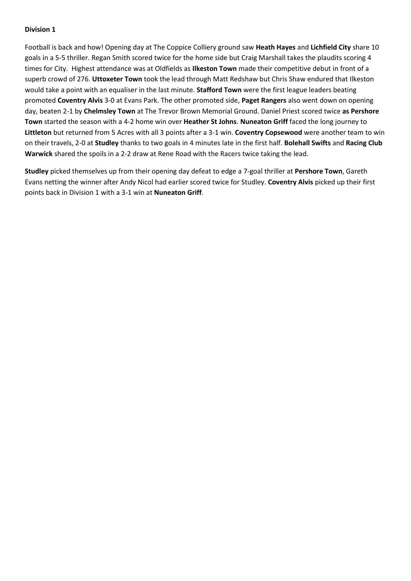# **Division 1**

Football is back and how! Opening day at The Coppice Colliery ground saw **Heath Hayes** and **Lichfield City** share 10 goals in a 5-5 thriller. Regan Smith scored twice for the home side but Craig Marshall takes the plaudits scoring 4 times for City. Highest attendance was at Oldfields as **Ilkeston Town** made their competitive debut in front of a superb crowd of 276. **Uttoxeter Town** took the lead through Matt Redshaw but Chris Shaw endured that Ilkeston would take a point with an equaliser in the last minute. **Stafford Town** were the first league leaders beating promoted **Coventry Alvis** 3-0 at Evans Park. The other promoted side, **Paget Rangers** also went down on opening day, beaten 2-1 by **Chelmsley Town** at The Trevor Brown Memorial Ground. Daniel Priest scored twice **as Pershore Town** started the season with a 4-2 home win over **Heather St Johns**. **Nuneaton Griff** faced the long journey to **Littleton** but returned from 5 Acres with all 3 points after a 3-1 win. **Coventry Copsewood** were another team to win on their travels, 2-0 at **Studley** thanks to two goals in 4 minutes late in the first half. **Bolehall Swifts** and **Racing Club Warwick** shared the spoils in a 2-2 draw at Rene Road with the Racers twice taking the lead.

**Studley** picked themselves up from their opening day defeat to edge a 7-goal thriller at **Pershore Town**, Gareth Evans netting the winner after Andy Nicol had earlier scored twice for Studley. **Coventry Alvis** picked up their first points back in Division 1 with a 3-1 win at **Nuneaton Griff**.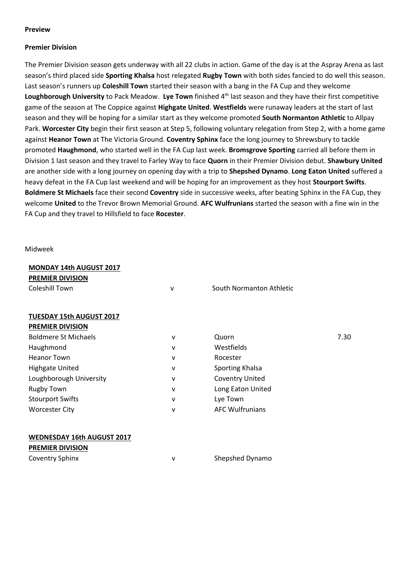#### **Preview**

#### **Premier Division**

The Premier Division season gets underway with all 22 clubs in action. Game of the day is at the Aspray Arena as last season's third placed side **Sporting Khalsa** host relegated **Rugby Town** with both sides fancied to do well this season. Last season's runners up **Coleshill Town** started their season with a bang in the FA Cup and they welcome Loughborough University to Pack Meadow. Lye Town finished 4<sup>th</sup> last season and they have their first competitive game of the season at The Coppice against **Highgate United**. **Westfields** were runaway leaders at the start of last season and they will be hoping for a similar start as they welcome promoted **South Normanton Athletic** to Allpay Park. **Worcester City** begin their first season at Step 5, following voluntary relegation from Step 2, with a home game against **Heanor Town** at The Victoria Ground. **Coventry Sphinx** face the long journey to Shrewsbury to tackle promoted **Haughmond**, who started well in the FA Cup last week. **Bromsgrove Sporting** carried all before them in Division 1 last season and they travel to Farley Way to face **Quorn** in their Premier Division debut. **Shawbury United** are another side with a long journey on opening day with a trip to **Shepshed Dynamo**. **Long Eaton United** suffered a heavy defeat in the FA Cup last weekend and will be hoping for an improvement as they host **Stourport Swifts**. **Boldmere St Michaels** face their second **Coventry** side in successive weeks, after beating Sphinx in the FA Cup, they welcome **United** to the Trevor Brown Memorial Ground. **AFC Wulfrunians** started the season with a fine win in the FA Cup and they travel to Hillsfield to face **Rocester**.

Midweek

| <b>MONDAY 14th AUGUST 2017</b> |              |                          |      |
|--------------------------------|--------------|--------------------------|------|
| <b>PREMIER DIVISION</b>        |              |                          |      |
| Coleshill Town                 | v            | South Normanton Athletic |      |
|                                |              |                          |      |
| TUESDAY 15th AUGUST 2017       |              |                          |      |
| <b>PREMIER DIVISION</b>        |              |                          |      |
| <b>Boldmere St Michaels</b>    | v            | Quorn                    | 7.30 |
| Haughmond                      | v            | Westfields               |      |
| <b>Heanor Town</b>             | v            | Rocester                 |      |
| <b>Highgate United</b>         | v            | Sporting Khalsa          |      |
| Loughborough University        | $\mathsf{v}$ | <b>Coventry United</b>   |      |
| <b>Rugby Town</b>              | v            | Long Eaton United        |      |
| <b>Stourport Swifts</b>        | v            | Lye Town                 |      |
| <b>Worcester City</b>          | v            | <b>AFC Wulfrunians</b>   |      |
|                                |              |                          |      |
|                                |              |                          |      |

# **WEDNESDAY 16th AUGUST 2017**

| <b>PREMIER DIVISION</b> |                 |
|-------------------------|-----------------|
| <b>Coventry Sphinx</b>  | Shepshed Dynamo |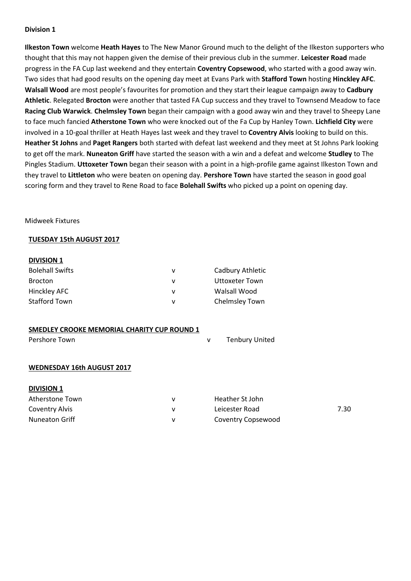### **Division 1**

**Ilkeston Town** welcome **Heath Hayes** to The New Manor Ground much to the delight of the Ilkeston supporters who thought that this may not happen given the demise of their previous club in the summer. **Leicester Road** made progress in the FA Cup last weekend and they entertain **Coventry Copsewood**, who started with a good away win. Two sides that had good results on the opening day meet at Evans Park with **Stafford Town** hosting **Hinckley AFC**. **Walsall Wood** are most people's favourites for promotion and they start their league campaign away to **Cadbury Athletic**. Relegated **Brocton** were another that tasted FA Cup success and they travel to Townsend Meadow to face **Racing Club Warwick**. **Chelmsley Town** began their campaign with a good away win and they travel to Sheepy Lane to face much fancied **Atherstone Town** who were knocked out of the Fa Cup by Hanley Town. **Lichfield City** were involved in a 10-goal thriller at Heath Hayes last week and they travel to **Coventry Alvis** looking to build on this. **Heather St Johns** and **Paget Rangers** both started with defeat last weekend and they meet at St Johns Park looking to get off the mark. **Nuneaton Griff** have started the season with a win and a defeat and welcome **Studley** to The Pingles Stadium. **Uttoxeter Town** began their season with a point in a high-profile game against Ilkeston Town and they travel to **Littleton** who were beaten on opening day. **Pershore Town** have started the season in good goal scoring form and they travel to Rene Road to face **Bolehall Swifts** who picked up a point on opening day.

#### Midweek Fixtures

#### **TUESDAY 15th AUGUST 2017**

#### **DIVISION 1**

| <b>Bolehall Swifts</b> | v | Cadbury Athletic |
|------------------------|---|------------------|
| Brocton                | v | Uttoxeter Town   |
| Hinckley AFC           | v | Walsall Wood     |
| <b>Stafford Town</b>   | v | Chelmsley Town   |

|  |  |  | SMEDLEY CROOKE MEMORIAL CHARITY CUP ROUND 1 |  |  |  |
|--|--|--|---------------------------------------------|--|--|--|
|--|--|--|---------------------------------------------|--|--|--|

| Pershore Town | <b>Tenbury United</b> |
|---------------|-----------------------|
|               |                       |

#### **WEDNESDAY 16th AUGUST 2017**

| <b>DIVISION 1</b> |  |
|-------------------|--|
|                   |  |

| Atherstone Town       | Heather St John    |      |
|-----------------------|--------------------|------|
| Coventry Alvis        | Leicester Road     | 7.30 |
| <b>Nuneaton Griff</b> | Coventry Copsewood |      |